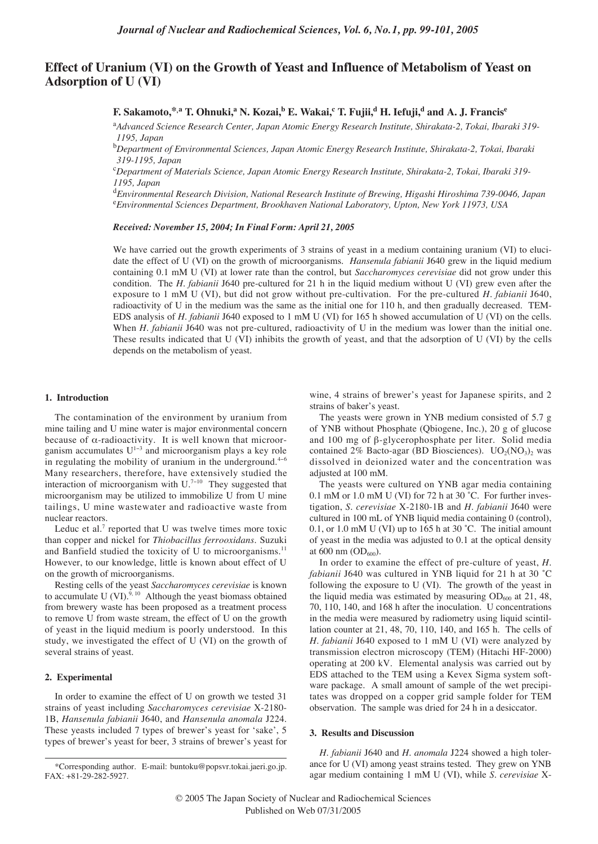# **Effect of Uranium (VI) on the Growth of Yeast and Influence of Metabolism of Yeast on Adsorption of U (VI)**

**F. Sakamoto,**\*,a<sup>T</sup>. Ohnuki,a<sup>n</sup> N. Kozai,<sup>b</sup> E. Wakai,<sup>c</sup> T. Fujii,<sup>d</sup> H. Iefuji,<sup>d</sup> and A. J. Francis<sup>e</sup>

a *Advanced Science Research Center, Japan Atomic Energy Research Institute, Shirakata-2, Tokai, Ibaraki 319- 1195, Japan*

b *Department of Environmental Sciences, Japan Atomic Energy Research Institute, Shirakata-2, Tokai, Ibaraki 319-1195, Japan*

c *Department of Materials Science, Japan Atomic Energy Research Institute, Shirakata-2, Tokai, Ibaraki 319- 1195, Japan*

d *Environmental Research Division, National Research Institute of Brewing, Higashi Hiroshima 739-0046, Japan* e *Environmental Sciences Department, Brookhaven National Laboratory, Upton, New York 11973, USA*

## *Received: November 15, 2004; In Final Form: April 21, 2005*

We have carried out the growth experiments of 3 strains of yeast in a medium containing uranium (VI) to elucidate the effect of U (VI) on the growth of microorganisms. *Hansenula fabianii* J640 grew in the liquid medium containing 0.1 mM U (VI) at lower rate than the control, but *Saccharomyces cerevisiae* did not grow under this condition. The *H. fabianii* J640 pre-cultured for 21 h in the liquid medium without U (VI) grew even after the exposure to 1 mM U (VI), but did not grow without pre-cultivation. For the pre-cultured *H. fabianii* J640, radioactivity of U in the medium was the same as the initial one for 110 h, and then gradually decreased. TEM-EDS analysis of *H. fabianii* J640 exposed to 1 mM U (VI) for 165 h showed accumulation of U (VI) on the cells. When *H. fabianii* J640 was not pre-cultured, radioactivity of U in the medium was lower than the initial one. These results indicated that U (VI) inhibits the growth of yeast, and that the adsorption of U (VI) by the cells depends on the metabolism of yeast.

## **1. Introduction**

The contamination of the environment by uranium from mine tailing and U mine water is major environmental concern because of  $\alpha$ -radioactivity. It is well known that microorganism accumulates  $U^{1-3}$  and microorganism plays a key role in regulating the mobility of uranium in the underground. $4-6$ Many researchers, therefore, have extensively studied the interaction of microorganism with  $U^{7-10}$  They suggested that microorganism may be utilized to immobilize U from U mine tailings, U mine wastewater and radioactive waste from nuclear reactors.

Leduc et al.<sup>7</sup> reported that U was twelve times more toxic than copper and nickel for *Thiobacillus ferrooxidans*. Suzuki and Banfield studied the toxicity of U to microorganisms.<sup>11</sup> However, to our knowledge, little is known about effect of U on the growth of microorganisms.

Resting cells of the yeast *Saccharomyces cerevisiae* is known to accumulate U (VI).<sup>9, 10</sup> Although the yeast biomass obtained from brewery waste has been proposed as a treatment process to remove U from waste stream, the effect of U on the growth of yeast in the liquid medium is poorly understood. In this study, we investigated the effect of U (VI) on the growth of several strains of yeast.

## **2. Experimental**

In order to examine the effect of U on growth we tested 31 strains of yeast including *Saccharomyces cerevisiae* X-2180- 1B, *Hansenula fabianii* J640, and *Hansenula anomala* J224. These yeasts included 7 types of brewer's yeast for 'sake', 5 types of brewer's yeast for beer, 3 strains of brewer's yeast for wine, 4 strains of brewer's yeast for Japanese spirits, and 2 strains of baker's yeast.

The yeasts were grown in YNB medium consisted of 5.7 g of YNB without Phosphate (Qbiogene, Inc.), 20 g of glucose and 100 mg of β-glycerophosphate per liter. Solid media contained 2% Bacto-agar (BD Biosciences).  $UO<sub>2</sub>(NO<sub>3</sub>)<sub>2</sub>$  was dissolved in deionized water and the concentration was adjusted at 100 mM.

The yeasts were cultured on YNB agar media containing 0.1 mM or 1.0 mM U (VI) for 72 h at 30 °C. For further investigation, *S. cerevisiae* X-2180-1B and *H. fabianii* J640 were cultured in 100 mL of YNB liquid media containing 0 (control), 0.1, or 1.0 mM U (VI) up to 165 h at 30 °C. The initial amount of yeast in the media was adjusted to 0.1 at the optical density at  $600 \text{ nm}$  (OD $_{600}$ ).

In order to examine the effect of pre-culture of yeast, *H. fabianii* J640 was cultured in YNB liquid for 21 h at 30 ˚C following the exposure to U (VI). The growth of the yeast in the liquid media was estimated by measuring  $OD_{600}$  at 21, 48, 70, 110, 140, and 168 h after the inoculation. U concentrations in the media were measured by radiometry using liquid scintillation counter at 21, 48, 70, 110, 140, and 165 h. The cells of *H. fabianii* J640 exposed to 1 mM U (VI) were analyzed by transmission electron microscopy (TEM) (Hitachi HF-2000) operating at 200 kV. Elemental analysis was carried out by EDS attached to the TEM using a Kevex Sigma system software package. A small amount of sample of the wet precipitates was dropped on a copper grid sample folder for TEM observation. The sample was dried for 24 h in a desiccator.

## **3. Results and Discussion**

*H. fabianii* J640 and *H. anomala* J224 showed a high tolerance for U (VI) among yeast strains tested. They grew on YNB agar medium containing 1 mM U (VI), while *S. cerevisiae* X-

<sup>\*</sup>Corresponding author. E-mail: buntoku@popsvr.tokai.jaeri.go.jp. FAX: +81-29-282-5927.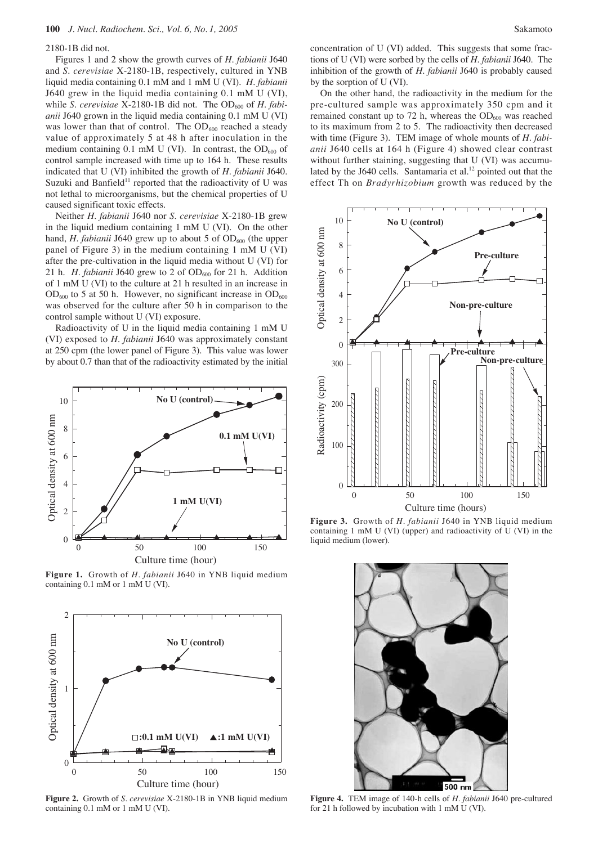#### 2180-1B did not.

Figures 1 and 2 show the growth curves of *H. fabianii* J640 and *S. cerevisiae* X-2180-1B, respectively, cultured in YNB liquid media containing 0.1 mM and 1 mM U (VI). *H. fabianii* J640 grew in the liquid media containing 0.1 mM U (VI), while *S. cerevisiae* X-2180-1B did not. The OD<sub>600</sub> of *H. fabianii* J640 grown in the liquid media containing 0.1 mM U (VI) was lower than that of control. The  $OD_{600}$  reached a steady value of approximately 5 at 48 h after inoculation in the medium containing 0.1 mM U (VI). In contrast, the  $OD_{600}$  of control sample increased with time up to 164 h. These results indicated that U (VI) inhibited the growth of *H. fabianii* J640. Suzuki and Banfield<sup>11</sup> reported that the radioactivity of U was not lethal to microorganisms, but the chemical properties of U caused significant toxic effects.

Neither *H. fabianii* J640 nor *S. cerevisiae* X-2180-1B grew in the liquid medium containing 1 mM U (VI). On the other hand, *H. fabianii* J640 grew up to about 5 of  $OD_{600}$  (the upper panel of Figure 3) in the medium containing 1 mM U (VI) after the pre-cultivation in the liquid media without U (VI) for 21 h. *H. fabianii* J640 grew to 2 of  $OD_{600}$  for 21 h. Addition of 1 mM U (VI) to the culture at 21 h resulted in an increase in  $OD_{600}$  to 5 at 50 h. However, no significant increase in  $OD_{600}$ was observed for the culture after 50 h in comparison to the control sample without U (VI) exposure.

Radioactivity of U in the liquid media containing 1 mM U (VI) exposed to *H. fabianii* J640 was approximately constant at 250 cpm (the lower panel of Figure 3). This value was lower by about 0.7 than that of the radioactivity estimated by the initial



**Figure 1.** Growth of *H. fabianii* J640 in YNB liquid medium containing 0.1 mM or 1 mM U (VI).



**Figure 2.** Growth of *S. cerevisiae* X-2180-1B in YNB liquid medium containing 0.1 mM or 1 mM U (VI).

concentration of U (VI) added. This suggests that some fractions of U (VI) were sorbed by the cells of *H. fabianii* J640. The inhibition of the growth of *H. fabianii* J640 is probably caused by the sorption of U (VI).

On the other hand, the radioactivity in the medium for the pre-cultured sample was approximately 350 cpm and it remained constant up to 72 h, whereas the  $OD<sub>600</sub>$  was reached to its maximum from 2 to 5. The radioactivity then decreased with time (Figure 3). TEM image of whole mounts of *H. fabianii* J640 cells at 164 h (Figure 4) showed clear contrast without further staining, suggesting that U (VI) was accumulated by the J640 cells. Santamaria et al. $^{12}$  pointed out that the effect Th on *Bradyrhizobium* growth was reduced by the



**Figure 3.** Growth of *H. fabianii* J640 in YNB liquid medium containing 1 mM U (VI) (upper) and radioactivity of U (VI) in the liquid medium (lower).



**Figure 4.** TEM image of 140-h cells of *H. fabianii* J640 pre-cultured for 21 h followed by incubation with 1 mM U (VI).